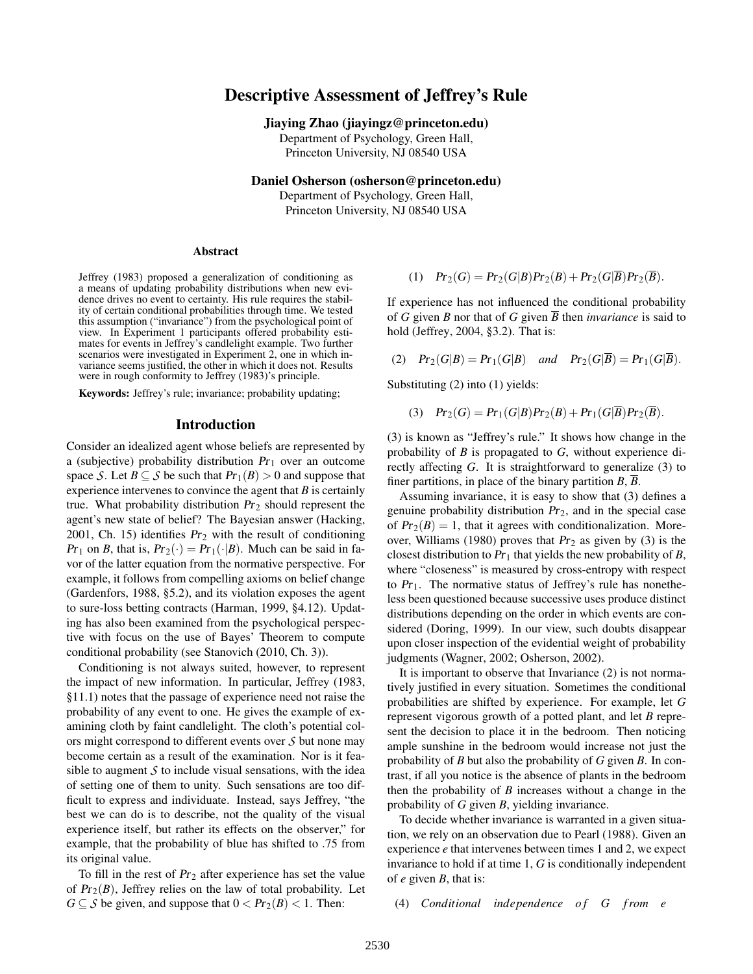# Descriptive Assessment of Jeffrey's Rule

#### Jiaying Zhao (jiayingz@princeton.edu)

Department of Psychology, Green Hall, Princeton University, NJ 08540 USA

Daniel Osherson (osherson@princeton.edu)

Department of Psychology, Green Hall, Princeton University, NJ 08540 USA

#### Abstract

Jeffrey (1983) proposed a generalization of conditioning as a means of updating probability distributions when new evidence drives no event to certainty. His rule requires the stability of certain conditional probabilities through time. We tested this assumption ("invariance") from the psychological point of view. In Experiment 1 participants offered probability estimates for events in Jeffrey's candlelight example. Two further scenarios were investigated in Experiment 2, one in which invariance seems justified, the other in which it does not. Results were in rough conformity to Jeffrey (1983)'s principle.

Keywords: Jeffrey's rule; invariance; probability updating;

#### Introduction

Consider an idealized agent whose beliefs are represented by a (subjective) probability distribution  $Pr_1$  over an outcome space *S*. Let  $B \subseteq S$  be such that  $Pr_1(B) > 0$  and suppose that experience intervenes to convince the agent that *B* is certainly true. What probability distribution  $Pr_2$  should represent the agent's new state of belief? The Bayesian answer (Hacking, 2001, Ch. 15) identifies  $Pr_2$  with the result of conditioning  $Pr_1$  on *B*, that is,  $Pr_2(\cdot) = Pr_1(\cdot|B)$ . Much can be said in favor of the latter equation from the normative perspective. For example, it follows from compelling axioms on belief change (Gardenfors, 1988, §5.2), and its violation exposes the agent to sure-loss betting contracts (Harman, 1999, §4.12). Updating has also been examined from the psychological perspective with focus on the use of Bayes' Theorem to compute conditional probability (see Stanovich (2010, Ch. 3)).

Conditioning is not always suited, however, to represent the impact of new information. In particular, Jeffrey (1983, §11.1) notes that the passage of experience need not raise the probability of any event to one. He gives the example of examining cloth by faint candlelight. The cloth's potential colors might correspond to different events over *S* but none may become certain as a result of the examination. Nor is it feasible to augment  $S$  to include visual sensations, with the idea of setting one of them to unity. Such sensations are too difficult to express and individuate. Instead, says Jeffrey, "the best we can do is to describe, not the quality of the visual experience itself, but rather its effects on the observer," for example, that the probability of blue has shifted to .75 from its original value.

To fill in the rest of  $Pr_2$  after experience has set the value of  $Pr_2(B)$ , Jeffrey relies on the law of total probability. Let *G*  $\subseteq$  *S* be given, and suppose that  $0 < Pr_2(B) < 1$ . Then:

(1) 
$$
Pr_2(G) = Pr_2(G|B)Pr_2(B) + Pr_2(G|\overline{B})Pr_2(\overline{B}).
$$

If experience has not influenced the conditional probability of *G* given *B* nor that of *G* given  $\overline{B}$  then *invariance* is said to hold (Jeffrey, 2004, §3.2). That is:

(2)  $Pr_2(G|B) = Pr_1(G|B)$  *and*  $Pr_2(G|\overline{B}) = Pr_1(G|\overline{B}).$ 

Substituting (2) into (1) yields:

(3) 
$$
Pr_2(G) = Pr_1(G|B)Pr_2(B) + Pr_1(G|\overline{B})Pr_2(\overline{B}).
$$

(3) is known as "Jeffrey's rule." It shows how change in the probability of *B* is propagated to *G*, without experience directly affecting *G*. It is straightforward to generalize (3) to finer partitions, in place of the binary partition  $B$ ,  $\overline{B}$ .

Assuming invariance, it is easy to show that (3) defines a genuine probability distribution  $Pr<sub>2</sub>$ , and in the special case of  $Pr_2(B) = 1$ , that it agrees with conditionalization. Moreover, Williams (1980) proves that  $Pr_2$  as given by (3) is the closest distribution to  $Pr_1$  that yields the new probability of  $B$ , where "closeness" is measured by cross-entropy with respect to  $Pr_1$ . The normative status of Jeffrey's rule has nonetheless been questioned because successive uses produce distinct distributions depending on the order in which events are considered (Doring, 1999). In our view, such doubts disappear upon closer inspection of the evidential weight of probability judgments (Wagner, 2002; Osherson, 2002).

It is important to observe that Invariance (2) is not normatively justified in every situation. Sometimes the conditional probabilities are shifted by experience. For example, let *G* represent vigorous growth of a potted plant, and let *B* represent the decision to place it in the bedroom. Then noticing ample sunshine in the bedroom would increase not just the probability of *B* but also the probability of *G* given *B*. In contrast, if all you notice is the absence of plants in the bedroom then the probability of *B* increases without a change in the probability of *G* given *B*, yielding invariance.

To decide whether invariance is warranted in a given situation, we rely on an observation due to Pearl (1988). Given an experience *e* that intervenes between times 1 and 2, we expect invariance to hold if at time 1, *G* is conditionally independent of *e* given *B*, that is:

(4) *Conditional independence of G from e*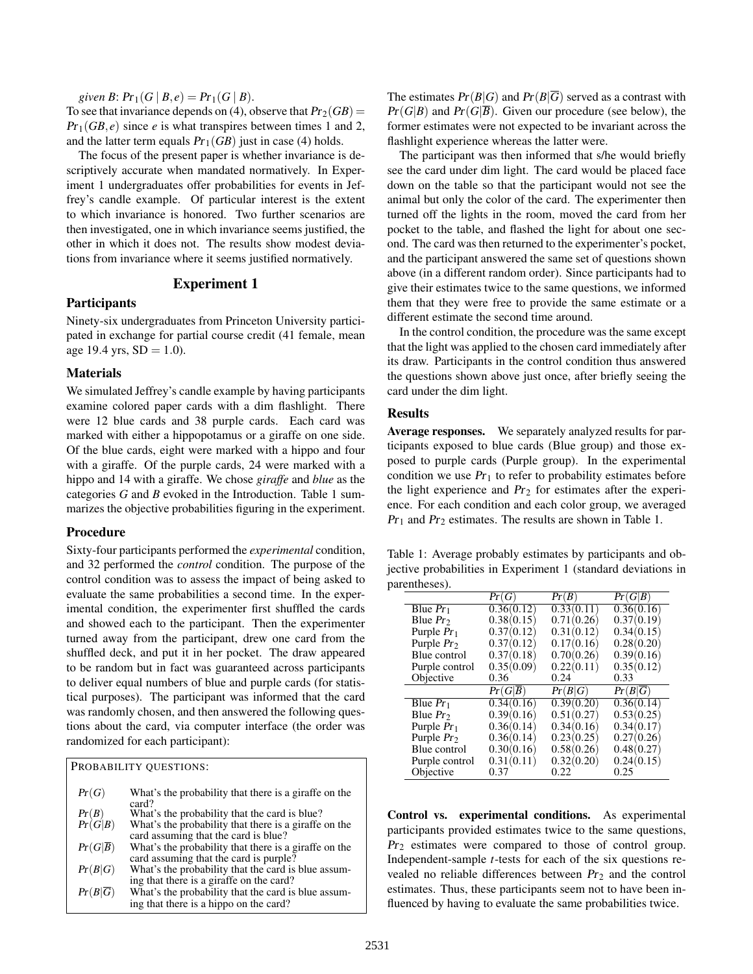*given B*:  $Pr_1(G | B, e) = Pr_1(G | B)$ .

To see that invariance depends on (4), observe that  $Pr_2(GB)$  =  $Pr_1(GB, e)$  since *e* is what transpires between times 1 and 2, and the latter term equals  $Pr_1(GB)$  just in case (4) holds.

The focus of the present paper is whether invariance is descriptively accurate when mandated normatively. In Experiment 1 undergraduates offer probabilities for events in Jeffrey's candle example. Of particular interest is the extent to which invariance is honored. Two further scenarios are then investigated, one in which invariance seems justified, the other in which it does not. The results show modest deviations from invariance where it seems justified normatively.

## Experiment 1

## Participants

Ninety-six undergraduates from Princeton University participated in exchange for partial course credit (41 female, mean age 19.4 yrs,  $SD = 1.0$ ).

### **Materials**

We simulated Jeffrey's candle example by having participants examine colored paper cards with a dim flashlight. There were 12 blue cards and 38 purple cards. Each card was marked with either a hippopotamus or a giraffe on one side. Of the blue cards, eight were marked with a hippo and four with a giraffe. Of the purple cards, 24 were marked with a hippo and 14 with a giraffe. We chose *giraffe* and *blue* as the categories *G* and *B* evoked in the Introduction. Table 1 summarizes the objective probabilities figuring in the experiment.

### Procedure

Sixty-four participants performed the *experimental* condition, and 32 performed the *control* condition. The purpose of the control condition was to assess the impact of being asked to evaluate the same probabilities a second time. In the experimental condition, the experimenter first shuffled the cards and showed each to the participant. Then the experimenter turned away from the participant, drew one card from the shuffled deck, and put it in her pocket. The draw appeared to be random but in fact was guaranteed across participants to deliver equal numbers of blue and purple cards (for statistical purposes). The participant was informed that the card was randomly chosen, and then answered the following questions about the card, via computer interface (the order was randomized for each participant):

|                      | PROBABILITY QUESTIONS:                                                                          |
|----------------------|-------------------------------------------------------------------------------------------------|
| Pr(G)                | What's the probability that there is a giraffe on the<br>card?                                  |
|                      | What's the probability that the card is blue?                                                   |
| $Pr(B)$<br>$Pr(G B)$ | What's the probability that there is a giraffe on the<br>card assuming that the card is blue?   |
| $Pr(G \overline{B})$ | What's the probability that there is a giraffe on the<br>card assuming that the card is purple? |
| Pr(B G)              | What's the probability that the card is blue assum-<br>ing that there is a giraffe on the card? |
| $Pr(B \overline{G})$ | What's the probability that the card is blue assum-<br>ing that there is a hippo on the card?   |

The estimates  $Pr(B|G)$  and  $Pr(B|\overline{G})$  served as a contrast with  $Pr(G|B)$  and  $Pr(G|\overline{B})$ . Given our procedure (see below), the former estimates were not expected to be invariant across the flashlight experience whereas the latter were.

The participant was then informed that s/he would briefly see the card under dim light. The card would be placed face down on the table so that the participant would not see the animal but only the color of the card. The experimenter then turned off the lights in the room, moved the card from her pocket to the table, and flashed the light for about one second. The card was then returned to the experimenter's pocket, and the participant answered the same set of questions shown above (in a different random order). Since participants had to give their estimates twice to the same questions, we informed them that they were free to provide the same estimate or a different estimate the second time around.

In the control condition, the procedure was the same except that the light was applied to the chosen card immediately after its draw. Participants in the control condition thus answered the questions shown above just once, after briefly seeing the card under the dim light.

### Results

Average responses. We separately analyzed results for participants exposed to blue cards (Blue group) and those exposed to purple cards (Purple group). In the experimental condition we use  $Pr_1$  to refer to probability estimates before the light experience and  $Pr_2$  for estimates after the experience. For each condition and each color group, we averaged  $Pr_1$  and  $Pr_2$  estimates. The results are shown in Table 1.

Table 1: Average probably estimates by participants and objective probabilities in Experiment 1 (standard deviations in parentheses).

|                | Pr(G)      | Pr(B)      | Pr(G B)    |
|----------------|------------|------------|------------|
| Blue $Pr_1$    | 0.36(0.12) | 0.33(0.11) | 0.36(0.16) |
| Blue $Pr_2$    | 0.38(0.15) | 0.71(0.26) | 0.37(0.19) |
| Purple $Pr_1$  | 0.37(0.12) | 0.31(0.12) | 0.34(0.15) |
| Purple $Pr2$   | 0.37(0.12) | 0.17(0.16) | 0.28(0.20) |
| Blue control   | 0.37(0.18) | 0.70(0.26) | 0.39(0.16) |
| Purple control | 0.35(0.09) | 0.22(0.11) | 0.35(0.12) |
| Objective      | 0.36       | 0.24       | 0.33       |
|                |            |            |            |
|                | Pr(G B)    | Pr(B G)    | Pr(B G)    |
| Blue $Pr_1$    | 0.34(0.16) | 0.39(0.20) | 0.36(0.14) |
| Blue $Pr_2$    | 0.39(0.16) | 0.51(0.27) | 0.53(0.25) |
| Purple $Pr_1$  | 0.36(0.14) | 0.34(0.16) | 0.34(0.17) |
| Purple $Pr2$   | 0.36(0.14) | 0.23(0.25) | 0.27(0.26) |
| Blue control   | 0.30(0.16) | 0.58(0.26) | 0.48(0.27) |
| Purple control | 0.31(0.11) | 0.32(0.20) | 0.24(0.15) |

Control vs. experimental conditions. As experimental participants provided estimates twice to the same questions,  $Pr<sub>2</sub>$  estimates were compared to those of control group. Independent-sample *t*-tests for each of the six questions revealed no reliable differences between  $Pr<sub>2</sub>$  and the control estimates. Thus, these participants seem not to have been influenced by having to evaluate the same probabilities twice.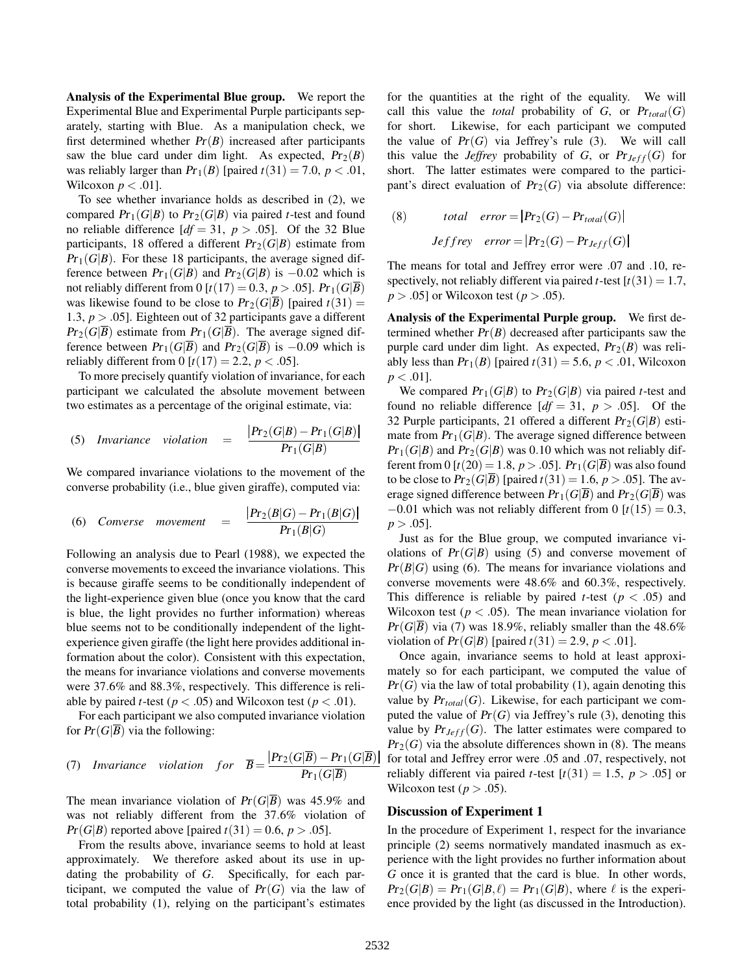Analysis of the Experimental Blue group. We report the Experimental Blue and Experimental Purple participants separately, starting with Blue. As a manipulation check, we first determined whether  $Pr(B)$  increased after participants saw the blue card under dim light. As expected,  $Pr_2(B)$ was reliably larger than  $Pr_1(B)$  [paired  $t(31) = 7.0$ ,  $p < .01$ , Wilcoxon  $p < .01$ ].

To see whether invariance holds as described in (2), we compared  $Pr_1(G|B)$  to  $Pr_2(G|B)$  via paired *t*-test and found no reliable difference  $[df = 31, p > .05]$ . Of the 32 Blue participants, 18 offered a different  $Pr_2(G|B)$  estimate from  $Pr_1(G|B)$ . For these 18 participants, the average signed difference between  $Pr_1(G|B)$  and  $Pr_2(G|B)$  is  $-0.02$  which is not reliably different from 0 [ $t(17) = 0.3$ ,  $p > .05$ ]. Pr<sub>1</sub>( $G|B$ ) was likewise found to be close to  $Pr_2(G|\overline{B})$  [paired  $t(31)$  = 1.3, *p* > .05]. Eighteen out of 32 participants gave a different  $Pr_2(G|\overline{B})$  estimate from  $Pr_1(G|\overline{B})$ . The average signed difference between  $Pr_1(G|\overline{B})$  and  $Pr_2(G|\overline{B})$  is  $-0.09$  which is reliably different from 0  $[t(17) = 2.2, p < .05]$ .

To more precisely quantify violation of invariance, for each participant we calculated the absolute movement between two estimates as a percentage of the original estimate, via:

(5) *Invariance violation* = 
$$
\frac{|Pr_2(G|B) - Pr_1(G|B)|}{Pr_1(G|B)}
$$

We compared invariance violations to the movement of the converse probability (i.e., blue given giraffe), computed via:

(6) *Converse movement* = 
$$
\frac{|Pr_2(B|G) - Pr_1(B|G)|}{Pr_1(B|G)}
$$

Following an analysis due to Pearl (1988), we expected the converse movements to exceed the invariance violations. This is because giraffe seems to be conditionally independent of the light-experience given blue (once you know that the card is blue, the light provides no further information) whereas blue seems not to be conditionally independent of the lightexperience given giraffe (the light here provides additional information about the color). Consistent with this expectation, the means for invariance violations and converse movements were 37.6% and 88.3%, respectively. This difference is reliable by paired *t*-test ( $p < .05$ ) and Wilcoxon test ( $p < .01$ ).

For each participant we also computed invariance violation for  $Pr(G|\overline{B})$  via the following:

(7) *Invariance violation for* 
$$
\overline{B} = \frac{|Pr_2(G|\overline{B}) - Pr_1(G|\overline{B})|}{Pr_1(G|\overline{B})}
$$

The mean invariance violation of  $Pr(G|\overline{B})$  was 45.9% and was not reliably different from the 37.6% violation of  $Pr(G|B)$  reported above [paired  $t(31) = 0.6$ ,  $p > .05$ ].

From the results above, invariance seems to hold at least approximately. We therefore asked about its use in updating the probability of *G*. Specifically, for each participant, we computed the value of  $Pr(G)$  via the law of total probability (1), relying on the participant's estimates for the quantities at the right of the equality. We will call this value the *total* probability of *G*, or  $Pr_{total}(G)$ for short. Likewise, for each participant we computed the value of  $Pr(G)$  via Jeffrey's rule (3). We will call this value the *Jeffrey* probability of *G*, or  $Pr_{Jeff}(G)$  for short. The latter estimates were compared to the participant's direct evaluation of  $Pr_2(G)$  via absolute difference:

(8) *total error* = 
$$
|Pr_2(G) - Pr_{total}(G)|
$$
  
*Jeffrey error* =  $|Pr_2(G) - Pr_{Jeff}(G)|$ 

The means for total and Jeffrey error were .07 and .10, respectively, not reliably different via paired *t*-test  $[t(31) = 1.7$ ,  $p > .05$  or Wilcoxon test ( $p > .05$ ).

Analysis of the Experimental Purple group. We first determined whether  $Pr(B)$  decreased after participants saw the purple card under dim light. As expected,  $Pr_2(B)$  was reliably less than  $Pr_1(B)$  [paired  $t(31) = 5.6$ ,  $p < .01$ , Wilcoxon  $p < .01$ ].

We compared  $Pr_1(G|B)$  to  $Pr_2(G|B)$  via paired *t*-test and found no reliable difference  $[df = 31, p > .05]$ . Of the 32 Purple participants, 21 offered a different  $Pr_2(G|B)$  estimate from  $Pr_1(G|B)$ . The average signed difference between  $Pr_1(G|B)$  and  $Pr_2(G|B)$  was 0.10 which was not reliably different from 0  $[t(20) = 1.8, p > .05]$ .  $Pr_1(G|\overline{B})$  was also found to be close to  $Pr_2(G|\overline{B})$  [paired  $t(31) = 1.6$ ,  $p > .05$ ]. The average signed difference between  $Pr_1(G|\overline{B})$  and  $Pr_2(G|\overline{B})$  was  $-0.01$  which was not reliably different from 0 [ $t(15) = 0.3$ ,  $p > .05$ ].

Just as for the Blue group, we computed invariance violations of  $Pr(G|B)$  using (5) and converse movement of  $Pr(B|G)$  using (6). The means for invariance violations and converse movements were 48.6% and 60.3%, respectively. This difference is reliable by paired *t*-test ( $p < .05$ ) and Wilcoxon test ( $p < .05$ ). The mean invariance violation for  $Pr(G|\overline{B})$  via (7) was 18.9%, reliably smaller than the 48.6% violation of  $Pr(G|B)$  [paired  $t(31) = 2.9, p < .01$ ].

Once again, invariance seems to hold at least approximately so for each participant, we computed the value of  $Pr(G)$  via the law of total probability (1), again denoting this value by  $Pr_{total}(G)$ . Likewise, for each participant we computed the value of  $Pr(G)$  via Jeffrey's rule (3), denoting this value by  $Pr_{Jeff}(G)$ . The latter estimates were compared to  $Pr<sub>2</sub>(G)$  via the absolute differences shown in (8). The means for total and Jeffrey error were .05 and .07, respectively, not reliably different via paired *t*-test  $[t(31) = 1.5, p > .05]$  or Wilcoxon test ( $p > .05$ ).

### Discussion of Experiment 1

In the procedure of Experiment 1, respect for the invariance principle (2) seems normatively mandated inasmuch as experience with the light provides no further information about *G* once it is granted that the card is blue. In other words,  $Pr_2(G|B) = Pr_1(G|B, \ell) = Pr_1(G|B)$ , where  $\ell$  is the experience provided by the light (as discussed in the Introduction).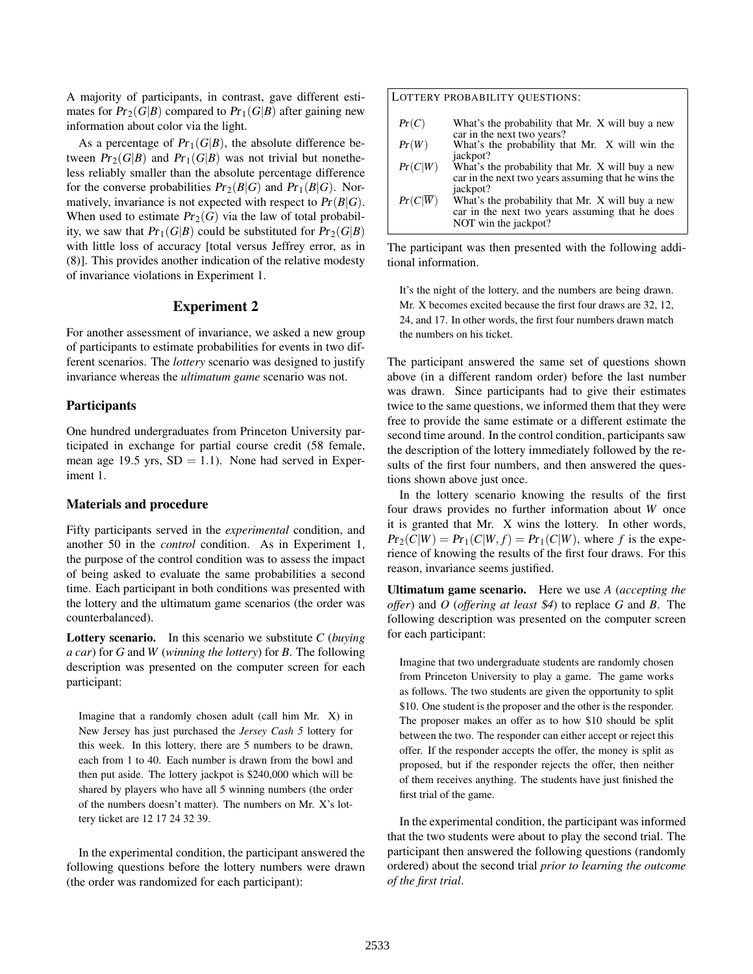A majority of participants, in contrast, gave different estimates for  $Pr_2(G|B)$  compared to  $Pr_1(G|B)$  after gaining new information about color via the light.

As a percentage of  $Pr_1(G|B)$ , the absolute difference between  $Pr_2(G|B)$  and  $Pr_1(G|B)$  was not trivial but nonetheless reliably smaller than the absolute percentage difference for the converse probabilities  $Pr_2(B|G)$  and  $Pr_1(B|G)$ . Normatively, invariance is not expected with respect to  $Pr(B|G)$ . When used to estimate  $Pr_2(G)$  via the law of total probability, we saw that  $Pr_1(G|B)$  could be substituted for  $Pr_2(G|B)$ with little loss of accuracy [total versus Jeffrey error, as in (8)]. This provides another indication of the relative modesty of invariance violations in Experiment 1.

#### Experiment 2

For another assessment of invariance, we asked a new group of participants to estimate probabilities for events in two different scenarios. The *lottery* scenario was designed to justify invariance whereas the *ultimatum game* scenario was not.

#### **Participants**

One hundred undergraduates from Princeton University participated in exchange for partial course credit (58 female, mean age 19.5 yrs,  $SD = 1.1$ ). None had served in Experiment 1.

#### Materials and procedure

Fifty participants served in the *experimental* condition, and another 50 in the *control* condition. As in Experiment 1, the purpose of the control condition was to assess the impact of being asked to evaluate the same probabilities a second time. Each participant in both conditions was presented with the lottery and the ultimatum game scenarios (the order was counterbalanced).

Lottery scenario. In this scenario we substitute *C* (*buying a car*) for *G* and *W* (*winning the lottery*) for *B*. The following description was presented on the computer screen for each participant:

Imagine that a randomly chosen adult (call him Mr. X) in New Jersey has just purchased the *Jersey Cash 5* lottery for this week. In this lottery, there are 5 numbers to be drawn, each from 1 to 40. Each number is drawn from the bowl and then put aside. The lottery jackpot is \$240,000 which will be shared by players who have all 5 winning numbers (the order of the numbers doesn't matter). The numbers on Mr. X's lottery ticket are 12 17 24 32 39.

In the experimental condition, the participant answered the following questions before the lottery numbers were drawn (the order was randomized for each participant):

#### LOTTERY PROBABILITY QUESTIONS:

 $Pr(C)$  What's the probability that Mr. X will buy a new car in the next two years? Pr(*W*) What's the probability that Mr. X will win the iackpot?  $Pr(C|W)$  What's the probability that Mr. X will buy a new car in the next two years assuming that he wins the iackpot?  $Pr(C|\overline{W})$  What's the probability that Mr. X will buy a new car in the next two years assuming that he does NOT win the jackpot?

The participant was then presented with the following additional information.

It's the night of the lottery, and the numbers are being drawn. Mr. X becomes excited because the first four draws are 32, 12, 24, and 17. In other words, the first four numbers drawn match the numbers on his ticket.

The participant answered the same set of questions shown above (in a different random order) before the last number was drawn. Since participants had to give their estimates twice to the same questions, we informed them that they were free to provide the same estimate or a different estimate the second time around. In the control condition, participants saw the description of the lottery immediately followed by the results of the first four numbers, and then answered the questions shown above just once.

In the lottery scenario knowing the results of the first four draws provides no further information about *W* once it is granted that Mr. X wins the lottery. In other words,  $Pr_2(C|W) = Pr_1(C|W, f) = Pr_1(C|W)$ , where *f* is the experience of knowing the results of the first four draws. For this reason, invariance seems justified.

Ultimatum game scenario. Here we use *A* (*accepting the offer*) and *O* (*offering at least* \$*4*) to replace *G* and *B*. The following description was presented on the computer screen for each participant:

Imagine that two undergraduate students are randomly chosen from Princeton University to play a game. The game works as follows. The two students are given the opportunity to split \$10. One student is the proposer and the other is the responder. The proposer makes an offer as to how \$10 should be split between the two. The responder can either accept or reject this offer. If the responder accepts the offer, the money is split as proposed, but if the responder rejects the offer, then neither of them receives anything. The students have just finished the first trial of the game.

In the experimental condition, the participant was informed that the two students were about to play the second trial. The participant then answered the following questions (randomly ordered) about the second trial *prior to learning the outcome of the first trial*.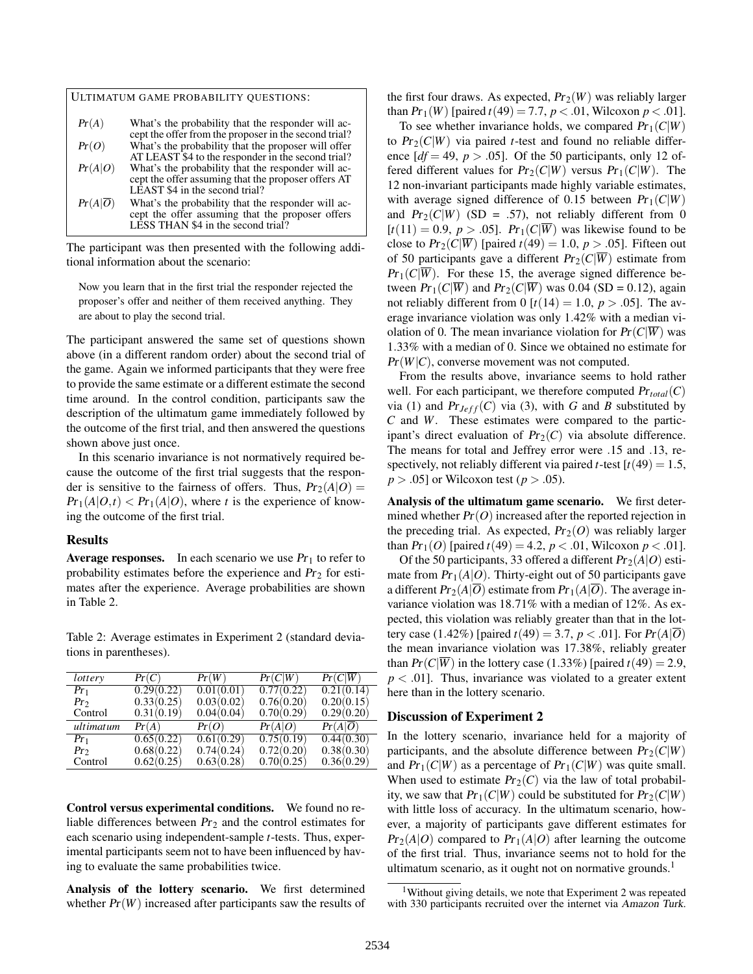| ULTIMATUM GAME PROBABILITY QUESTIONS: |                                                                                                                                              |  |  |  |
|---------------------------------------|----------------------------------------------------------------------------------------------------------------------------------------------|--|--|--|
| Pr(A)                                 | What's the probability that the responder will ac-<br>cept the offer from the proposer in the second trial?                                  |  |  |  |
| Pr(O)                                 | What's the probability that the proposer will offer<br>AT LEAST \$4 to the responder in the second trial?                                    |  |  |  |
| Pr(A O)                               | What's the probability that the responder will ac-<br>cept the offer assuming that the proposer offers AT<br>LEAST \$4 in the second trial?  |  |  |  |
| Pr(A O)                               | What's the probability that the responder will ac-<br>cept the offer assuming that the proposer offers<br>LESS THAN \$4 in the second trial? |  |  |  |

The participant was then presented with the following additional information about the scenario:

Now you learn that in the first trial the responder rejected the proposer's offer and neither of them received anything. They are about to play the second trial.

The participant answered the same set of questions shown above (in a different random order) about the second trial of the game. Again we informed participants that they were free to provide the same estimate or a different estimate the second time around. In the control condition, participants saw the description of the ultimatum game immediately followed by the outcome of the first trial, and then answered the questions shown above just once.

In this scenario invariance is not normatively required because the outcome of the first trial suggests that the responder is sensitive to the fairness of offers. Thus,  $Pr_2(A|O)$  =  $Pr_1(A|O,t) < Pr_1(A|O)$ , where *t* is the experience of knowing the outcome of the first trial.

### Results

**Average responses.** In each scenario we use  $Pr_1$  to refer to probability estimates before the experience and  $Pr<sub>2</sub>$  for estimates after the experience. Average probabilities are shown in Table 2.

Table 2: Average estimates in Experiment 2 (standard deviations in parentheses).

| lottery   | Pr(C)      | Pr(W)      | Pr(C W)    | $Pr(C \overline{W})$ |
|-----------|------------|------------|------------|----------------------|
| $Pr_1$    | 0.29(0.22) | 0.01(0.01) | 0.77(0.22) | 0.21(0.14)           |
| $Pr_2$    | 0.33(0.25) | 0.03(0.02) | 0.76(0.20) | 0.20(0.15)           |
| Control   | 0.31(0.19) | 0.04(0.04) | 0.70(0.29) | 0.29(0.20)           |
| ultimatum | Pr(A)      | Pr(O)      | Pr(A O)    | $Pr(A \overline{O})$ |
| $Pr_1$    | 0.65(0.22) | 0.61(0.29) | 0.75(0.19) | 0.44(0.30)           |
| $Pr_2$    | 0.68(0.22) | 0.74(0.24) | 0.72(0.20) | 0.38(0.30)           |
| Control   | 0.62(0.25) | 0.63(0.28) | 0.70(0.25) | 0.36(0.29)           |
|           |            |            |            |                      |

Control versus experimental conditions. We found no reliable differences between  $Pr<sub>2</sub>$  and the control estimates for each scenario using independent-sample *t*-tests. Thus, experimental participants seem not to have been influenced by having to evaluate the same probabilities twice.

Analysis of the lottery scenario. We first determined whether  $Pr(W)$  increased after participants saw the results of the first four draws. As expected,  $Pr_2(W)$  was reliably larger than  $Pr_1(W)$  [paired  $t(49) = 7.7$ ,  $p < .01$ , Wilcoxon  $p < .01$ ].

To see whether invariance holds, we compared  $Pr_1(C|W)$ to  $Pr_2(C|W)$  via paired *t*-test and found no reliable difference  $[df = 49, p > .05]$ . Of the 50 participants, only 12 offered different values for  $Pr_2(C|W)$  versus  $Pr_1(C|W)$ . The 12 non-invariant participants made highly variable estimates, with average signed difference of 0.15 between  $Pr_1(C|W)$ and  $Pr_2(C|W)$  (SD = .57), not reliably different from 0  $[t(11) = 0.9, p > .05]$ .  $Pr_1(C|\overline{W})$  was likewise found to be close to  $Pr_2(C|\overline{W})$  [paired  $t(49) = 1.0, p > .05$ ]. Fifteen out of 50 participants gave a different  $Pr_2(C|\overline{W})$  estimate from  $Pr_1(C|\overline{W})$ . For these 15, the average signed difference between  $Pr_1(C|\overline{W})$  and  $Pr_2(C|\overline{W})$  was 0.04 (SD = 0.12), again not reliably different from 0  $[t(14) = 1.0, p > .05]$ . The average invariance violation was only 1.42% with a median violation of 0. The mean invariance violation for  $Pr(C|\overline{W})$  was 1.33% with a median of 0. Since we obtained no estimate for  $Pr(W|C)$ , converse movement was not computed.

From the results above, invariance seems to hold rather well. For each participant, we therefore computed Pr*total*(*C*) via (1) and  $Pr_{Jeff}(C)$  via (3), with *G* and *B* substituted by *C* and *W*. These estimates were compared to the participant's direct evaluation of  $Pr_2(C)$  via absolute difference. The means for total and Jeffrey error were .15 and .13, respectively, not reliably different via paired *t*-test  $[t(49) = 1.5$ ,  $p > .05$  or Wilcoxon test ( $p > .05$ ).

Analysis of the ultimatum game scenario. We first determined whether  $Pr(O)$  increased after the reported rejection in the preceding trial. As expected,  $Pr_2(O)$  was reliably larger than  $Pr_1(O)$  [paired  $t(49) = 4.2$ ,  $p < .01$ , Wilcoxon  $p < .01$ ].

Of the 50 participants, 33 offered a different  $Pr_2(A|O)$  estimate from  $Pr_1(A|O)$ . Thirty-eight out of 50 participants gave a different  $Pr_2(A|\overline{O})$  estimate from  $Pr_1(A|\overline{O})$ . The average invariance violation was 18.71% with a median of 12%. As expected, this violation was reliably greater than that in the lottery case (1.42%) [paired  $t(49) = 3.7$ ,  $p < .01$ ]. For  $Pr(A|O)$ the mean invariance violation was 17.38%, reliably greater than  $Pr(C|\overline{W})$  in the lottery case (1.33%) [paired  $t(49) = 2.9$ ,  $p < .01$ ]. Thus, invariance was violated to a greater extent here than in the lottery scenario.

### Discussion of Experiment 2

In the lottery scenario, invariance held for a majority of participants, and the absolute difference between  $Pr_2(C|W)$ and  $Pr_1(C|W)$  as a percentage of  $Pr_1(C|W)$  was quite small. When used to estimate  $Pr_2(C)$  via the law of total probability, we saw that  $Pr_1(C|W)$  could be substituted for  $Pr_2(C|W)$ with little loss of accuracy. In the ultimatum scenario, however, a majority of participants gave different estimates for  $Pr_2(A|O)$  compared to  $Pr_1(A|O)$  after learning the outcome of the first trial. Thus, invariance seems not to hold for the ultimatum scenario, as it ought not on normative grounds. $<sup>1</sup>$ </sup>

<sup>1</sup>Without giving details, we note that Experiment 2 was repeated with 330 participants recruited over the internet via Amazon Turk.